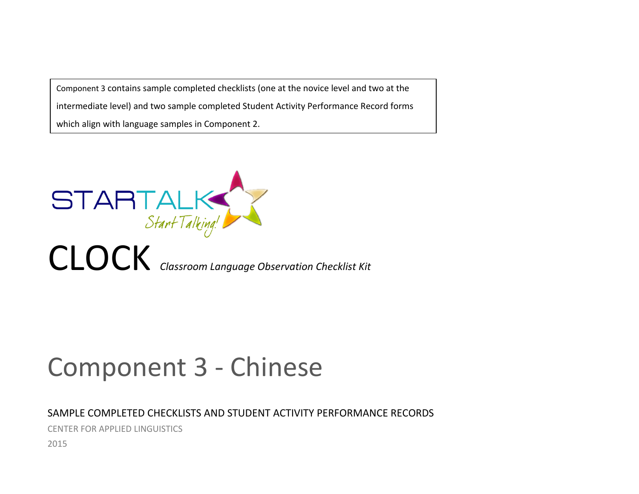Component 3 contains sample completed checklists (one at the novice level and two at the intermediate level) and two sample completed Student Activity Performance Record forms which align with language samples in Component 2.



# Component 3 - Chinese

## SAMPLE COMPLETED CHECKLISTS AND STUDENT ACTIVITY PERFORMANCE RECORDS

CENTER FOR APPLIED LINGUISTICS

2015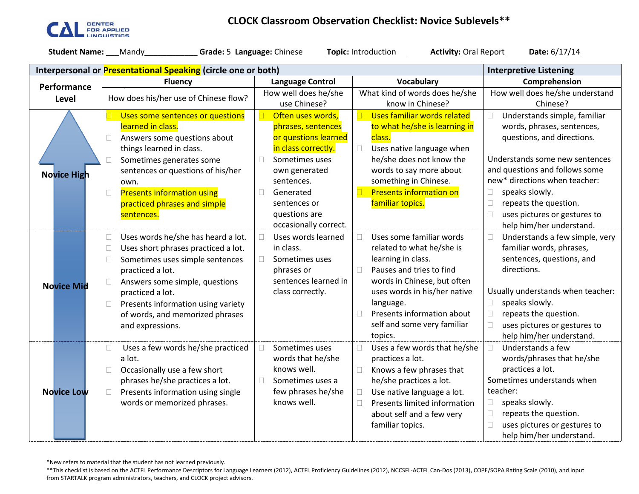

## **CLOCK Classroom Observation Checklist: Novice Sublevels\*\***

| <b>Student Name:</b><br>Grade: 5 Language: Chinese<br>Topic: Introduction<br><b>Activity: Oral Report</b><br>Date: 6/17/14<br>Mandy |                                                                                                       |                              |                                        |                                          |  |  |  |  |  |  |
|-------------------------------------------------------------------------------------------------------------------------------------|-------------------------------------------------------------------------------------------------------|------------------------------|----------------------------------------|------------------------------------------|--|--|--|--|--|--|
|                                                                                                                                     | Interpersonal or <b>Presentational Speaking</b> (circle one or both)<br><b>Interpretive Listening</b> |                              |                                        |                                          |  |  |  |  |  |  |
| Performance                                                                                                                         | <b>Fluency</b>                                                                                        | <b>Language Control</b>      | <b>Vocabulary</b>                      | Comprehension                            |  |  |  |  |  |  |
| Level                                                                                                                               | How does his/her use of Chinese flow?                                                                 | How well does he/she         | What kind of words does he/she         | How well does he/she understand          |  |  |  |  |  |  |
|                                                                                                                                     |                                                                                                       | use Chinese?                 | know in Chinese?                       | Chinese?                                 |  |  |  |  |  |  |
|                                                                                                                                     | Uses some sentences or questions                                                                      | Often uses words,            | Uses familiar words related            | Understands simple, familiar<br>$\Box$   |  |  |  |  |  |  |
|                                                                                                                                     | learned in class.                                                                                     | phrases, sentences           | to what he/she is learning in          | words, phrases, sentences,               |  |  |  |  |  |  |
|                                                                                                                                     | Answers some questions about<br>$\Box$                                                                | or questions learned         | class.                                 | questions, and directions.               |  |  |  |  |  |  |
|                                                                                                                                     | things learned in class.                                                                              | in class correctly.          | Uses native language when<br>П         |                                          |  |  |  |  |  |  |
|                                                                                                                                     | Sometimes generates some<br>П                                                                         | Sometimes uses<br>$\Box$     | he/she does not know the               | Understands some new sentences           |  |  |  |  |  |  |
| <b>Novice High</b>                                                                                                                  | sentences or questions of his/her                                                                     | own generated                | words to say more about                | and questions and follows some           |  |  |  |  |  |  |
|                                                                                                                                     | own.                                                                                                  | sentences.                   | something in Chinese.                  | new* directions when teacher:            |  |  |  |  |  |  |
|                                                                                                                                     | <b>Presents information using</b><br>$\Box$                                                           | $\Box$<br>Generated          | <b>Presents information on</b>         | speaks slowly.<br>$\Box$                 |  |  |  |  |  |  |
|                                                                                                                                     | practiced phrases and simple                                                                          | sentences or                 | familiar topics.                       | $\Box$<br>repeats the question.          |  |  |  |  |  |  |
|                                                                                                                                     | sentences.                                                                                            | questions are                |                                        | uses pictures or gestures to<br>$\Box$   |  |  |  |  |  |  |
|                                                                                                                                     |                                                                                                       | occasionally correct.        |                                        | help him/her understand.                 |  |  |  |  |  |  |
|                                                                                                                                     | Uses words he/she has heard a lot.<br>$\Box$                                                          | Uses words learned<br>$\Box$ | Uses some familiar words<br>П          | Understands a few simple, very<br>$\Box$ |  |  |  |  |  |  |
|                                                                                                                                     | Uses short phrases practiced a lot.<br>$\Box$                                                         | in class.                    | related to what he/she is              | familiar words, phrases,                 |  |  |  |  |  |  |
|                                                                                                                                     | Sometimes uses simple sentences<br>$\Box$                                                             | Sometimes uses<br>П          | learning in class.                     | sentences, questions, and                |  |  |  |  |  |  |
|                                                                                                                                     | practiced a lot.                                                                                      | phrases or                   | Pauses and tries to find               | directions.                              |  |  |  |  |  |  |
| <b>Novice Mid</b>                                                                                                                   | Answers some simple, questions<br>$\Box$                                                              | sentences learned in         | words in Chinese, but often            |                                          |  |  |  |  |  |  |
|                                                                                                                                     | practiced a lot.                                                                                      | class correctly.             | uses words in his/her native           | Usually understands when teacher:        |  |  |  |  |  |  |
|                                                                                                                                     | Presents information using variety<br>$\Box$                                                          |                              | language.                              | speaks slowly.<br>$\Box$                 |  |  |  |  |  |  |
|                                                                                                                                     | of words, and memorized phrases                                                                       |                              | Presents information about             | repeats the question.<br>$\Box$          |  |  |  |  |  |  |
|                                                                                                                                     | and expressions.                                                                                      |                              | self and some very familiar            | $\Box$<br>uses pictures or gestures to   |  |  |  |  |  |  |
|                                                                                                                                     |                                                                                                       |                              | topics.                                | help him/her understand.                 |  |  |  |  |  |  |
|                                                                                                                                     | Uses a few words he/she practiced<br>$\Box$                                                           | $\Box$<br>Sometimes uses     | Uses a few words that he/she<br>П      | Understands a few<br>П                   |  |  |  |  |  |  |
|                                                                                                                                     | a lot.                                                                                                | words that he/she            | practices a lot.                       | words/phrases that he/she                |  |  |  |  |  |  |
|                                                                                                                                     | Occasionally use a few short<br>$\Box$                                                                | knows well.                  | Knows a few phrases that               | practices a lot.                         |  |  |  |  |  |  |
|                                                                                                                                     | phrases he/she practices a lot.                                                                       | $\Box$<br>Sometimes uses a   | he/she practices a lot.                | Sometimes understands when               |  |  |  |  |  |  |
| <b>Novice Low</b>                                                                                                                   | Presents information using single<br>$\Box$                                                           | few phrases he/she           | Use native language a lot.             | teacher:                                 |  |  |  |  |  |  |
|                                                                                                                                     | words or memorized phrases.                                                                           | knows well.                  | Presents limited information<br>$\Box$ | speaks slowly.<br>$\Box$                 |  |  |  |  |  |  |
|                                                                                                                                     |                                                                                                       |                              | about self and a few very              | repeats the question.<br>$\Box$          |  |  |  |  |  |  |
|                                                                                                                                     |                                                                                                       |                              | familiar topics.                       | uses pictures or gestures to<br>$\Box$   |  |  |  |  |  |  |
|                                                                                                                                     |                                                                                                       |                              |                                        | help him/her understand.                 |  |  |  |  |  |  |

\*New refers to material that the student has not learned previously.

\*\*This checklist is based on the ACTFL Performance Descriptors for Language Learners (2012), ACTFL Proficiency Guidelines (2012), NCCSFL-ACTFL Can-Dos (2013), COPE/SOPA Rating Scale (2010), and input from STARTALK program administrators, teachers, and CLOCK project advisors.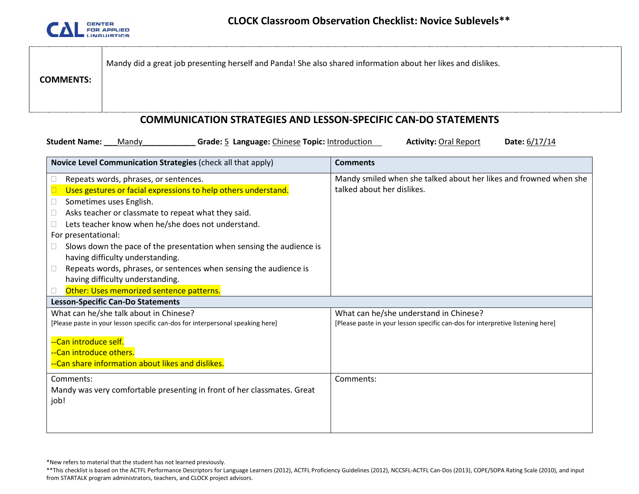

|                  | Mandy did a great job presenting herself and Panda! She also shared information about her likes and dislikes. |
|------------------|---------------------------------------------------------------------------------------------------------------|
| <b>COMMENTS:</b> |                                                                                                               |

#### **COMMUNICATION STRATEGIES AND LESSON-SPECIFIC CAN-DO STATEMENTS**

**Student Name: \_\_\_**Mandy**\_\_\_\_\_\_\_\_\_\_\_\_ Grade:** 5 **Language:** Chinese **Topic:** Introduction **Activity:** Oral Report **Date:** 6/17/14

| Novice Level Communication Strategies (check all that apply)                   | <b>Comments</b>                                                                |
|--------------------------------------------------------------------------------|--------------------------------------------------------------------------------|
| Repeats words, phrases, or sentences.                                          | Mandy smiled when she talked about her likes and frowned when she              |
| Uses gestures or facial expressions to help others understand.                 | talked about her dislikes.                                                     |
| Sometimes uses English.                                                        |                                                                                |
| Asks teacher or classmate to repeat what they said.                            |                                                                                |
| Lets teacher know when he/she does not understand.                             |                                                                                |
| For presentational:                                                            |                                                                                |
| Slows down the pace of the presentation when sensing the audience is           |                                                                                |
| having difficulty understanding.                                               |                                                                                |
| Repeats words, phrases, or sentences when sensing the audience is              |                                                                                |
| having difficulty understanding.                                               |                                                                                |
| Other: Uses memorized sentence patterns.                                       |                                                                                |
| <b>Lesson-Specific Can-Do Statements</b>                                       |                                                                                |
| What can he/she talk about in Chinese?                                         | What can he/she understand in Chinese?                                         |
| [Please paste in your lesson specific can-dos for interpersonal speaking here] | [Please paste in your lesson specific can-dos for interpretive listening here] |
| --Can introduce self.                                                          |                                                                                |
| --Can introduce others.                                                        |                                                                                |
| --Can share information about likes and dislikes.                              |                                                                                |
|                                                                                |                                                                                |
| Comments:                                                                      | Comments:                                                                      |
| Mandy was very comfortable presenting in front of her classmates. Great        |                                                                                |
| job!                                                                           |                                                                                |
|                                                                                |                                                                                |
|                                                                                |                                                                                |

<sup>\*</sup>New refers to material that the student has not learned previously.

<sup>\*\*</sup>This checklist is based on the ACTFL Performance Descriptors for Language Learners (2012), ACTFL Proficiency Guidelines (2012), NCCSFL-ACTFL Can-Dos (2013), COPE/SOPA Rating Scale (2010), and input from STARTALK program administrators, teachers, and CLOCK project advisors.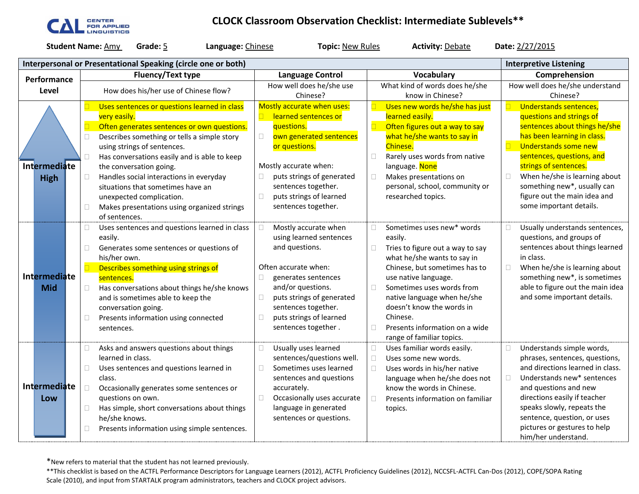

# **CLOCK Classroom Observation Checklist: Intermediate Sublevels\*\***

**Student Name:** <u>Amy</u> **Grade: 5 Language:** Chinese **Topic:** New Rules **Activity:** Debate **Date:** 2/27/2015

|                             | Interpersonal or Presentational Speaking (circle one or both)                                                                                                                                                                                                                                                                                                                                                                                       |                                                                                                                                                                                                                                                                           | <b>Interpretive Listening</b>                                                                                                                                                                                                                                                                                          |                                                                                                                                                                                                                                                                                                                                                        |
|-----------------------------|-----------------------------------------------------------------------------------------------------------------------------------------------------------------------------------------------------------------------------------------------------------------------------------------------------------------------------------------------------------------------------------------------------------------------------------------------------|---------------------------------------------------------------------------------------------------------------------------------------------------------------------------------------------------------------------------------------------------------------------------|------------------------------------------------------------------------------------------------------------------------------------------------------------------------------------------------------------------------------------------------------------------------------------------------------------------------|--------------------------------------------------------------------------------------------------------------------------------------------------------------------------------------------------------------------------------------------------------------------------------------------------------------------------------------------------------|
| Performance                 | <b>Fluency/Text type</b>                                                                                                                                                                                                                                                                                                                                                                                                                            | <b>Language Control</b>                                                                                                                                                                                                                                                   | Vocabulary                                                                                                                                                                                                                                                                                                             | Comprehension                                                                                                                                                                                                                                                                                                                                          |
| Level                       | How does his/her use of Chinese flow?                                                                                                                                                                                                                                                                                                                                                                                                               | How well does he/she use                                                                                                                                                                                                                                                  | What kind of words does he/she                                                                                                                                                                                                                                                                                         | How well does he/she understand                                                                                                                                                                                                                                                                                                                        |
|                             |                                                                                                                                                                                                                                                                                                                                                                                                                                                     | Chinese?                                                                                                                                                                                                                                                                  | know in Chinese?                                                                                                                                                                                                                                                                                                       | Chinese?                                                                                                                                                                                                                                                                                                                                               |
| Intermediate<br><b>High</b> | Uses sentences or questions learned in class<br>very easily.<br>Often generates sentences or own questions.<br>Describes something or tells a simple story<br>П<br>using strings of sentences.<br>Has conversations easily and is able to keep<br>П<br>the conversation going.<br>Handles social interactions in everyday<br>$\Box$<br>situations that sometimes have an<br>unexpected complication.                                                | Mostly accurate when uses:<br>learned sentences or<br>questions.<br>$\Box$<br>own generated sentences<br>or questions.<br>Mostly accurate when:<br>puts strings of generated<br>sentences together.<br>puts strings of learned<br>$\Box$<br>sentences together.           | Uses new words he/she has just<br>learned easily.<br>Often figures out a way to say<br>what he/she wants to say in<br>Chinese.<br>Rarely uses words from native<br>П<br>language. None<br>Makes presentations on<br>□<br>personal, school, community or<br>researched topics.                                          | Understands sentences,<br>questions and strings of<br>sentences about things he/she<br>has been learning in class.<br><b>Understands some new</b><br>$\Box$<br>sentences, questions, and<br>strings of sentences.<br>When he/she is learning about<br>$\Box$<br>something new*, usually can<br>figure out the main idea and<br>some important details. |
| Intermediate<br><b>Mid</b>  | Makes presentations using organized strings<br>$\Box$<br>of sentences.<br>Uses sentences and questions learned in class<br>□<br>easily.<br>Generates some sentences or questions of<br>$\Box$<br>his/her own.<br>Describes something using strings of<br>sentences.<br>$\Box$<br>Has conversations about things he/she knows<br>and is sometimes able to keep the<br>conversation going.<br>Presents information using connected<br>П<br>sentences. | Mostly accurate when<br>using learned sentences<br>and questions.<br>Often accurate when:<br>$\Box$<br>generates sentences<br>and/or questions.<br>$\Box$<br>puts strings of generated<br>sentences together.<br>puts strings of learned<br>$\Box$<br>sentences together. | Sometimes uses new* words<br>easily.<br>Tries to figure out a way to say<br>П<br>what he/she wants to say in<br>Chinese, but sometimes has to<br>use native language.<br>$\Box$<br>Sometimes uses words from<br>native language when he/she<br>doesn't know the words in<br>Chinese.<br>Presents information on a wide | Usually understands sentences,<br>П<br>questions, and groups of<br>sentences about things learned<br>in class.<br>When he/she is learning about<br>$\Box$<br>something new*, is sometimes<br>able to figure out the main idea<br>and some important details.                                                                                           |
| Intermediate<br>Low         | Asks and answers questions about things<br>$\Box$<br>learned in class.<br>Uses sentences and questions learned in<br>$\Box$<br>class.<br>$\Box$<br>Occasionally generates some sentences or<br>questions on own.<br>$\Box$<br>Has simple, short conversations about things<br>he/she knows.<br>Presents information using simple sentences.<br>П                                                                                                    | Usually uses learned<br>$\Box$<br>sentences/questions well.<br>Sometimes uses learned<br>$\Box$<br>sentences and questions<br>accurately.<br>$\Box$<br>Occasionally uses accurate<br>language in generated<br>sentences or questions.                                     | range of familiar topics.<br>Uses familiar words easily.<br>Uses some new words.<br>Uses words in his/her native<br>language when he/she does not<br>know the words in Chinese.<br>Presents information on familiar<br>П<br>topics.                                                                                    | Understands simple words,<br>$\Box$<br>phrases, sentences, questions,<br>and directions learned in class.<br>$\Box$<br>Understands new* sentences<br>and questions and new<br>directions easily if teacher<br>speaks slowly, repeats the<br>sentence, question, or uses<br>pictures or gestures to help<br>him/her understand.                         |

\*New refers to material that the student has not learned previously.

\*\*This checklist is based on the ACTFL Performance Descriptors for Language Learners (2012), ACTFL Proficiency Guidelines (2012), NCCSFL-ACTFL Can-Dos (2012), COPE/SOPA Rating Scale (2010), and input from STARTALK program administrators, teachers and CLOCK project advisors.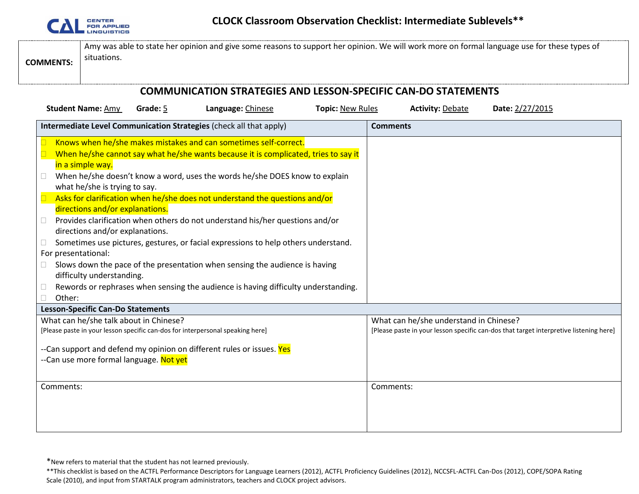

|  | Amy was able to state her opinion and give some reasons to support her opinion. We will work more on formal language use for these types of<br>situations.<br><b>COMMENTS:</b> |  |
|--|--------------------------------------------------------------------------------------------------------------------------------------------------------------------------------|--|
|--|--------------------------------------------------------------------------------------------------------------------------------------------------------------------------------|--|

# **COMMUNICATION STRATEGIES AND LESSON-SPECIFIC CAN-DO STATEMENTS**

| <b>Student Name: Amy</b><br>Grade: 5                                                                                                                                                                           | Language: Chinese                                                                                                                                                                                                                                                                                                                                                                                                                                                                                                                                                                                                                                                 | <b>Topic: New Rules</b> | <b>Activity: Debate</b>                | Date: 2/27/2015                                                                        |
|----------------------------------------------------------------------------------------------------------------------------------------------------------------------------------------------------------------|-------------------------------------------------------------------------------------------------------------------------------------------------------------------------------------------------------------------------------------------------------------------------------------------------------------------------------------------------------------------------------------------------------------------------------------------------------------------------------------------------------------------------------------------------------------------------------------------------------------------------------------------------------------------|-------------------------|----------------------------------------|----------------------------------------------------------------------------------------|
| Intermediate Level Communication Strategies (check all that apply)                                                                                                                                             |                                                                                                                                                                                                                                                                                                                                                                                                                                                                                                                                                                                                                                                                   |                         | <b>Comments</b>                        |                                                                                        |
| in a simple way.<br>$\Box$<br>what he/she is trying to say.<br>directions and/or explanations.<br>$\Box$<br>directions and/or explanations.<br>Ш<br>For presentational:<br>difficulty understanding.<br>Other: | Knows when he/she makes mistakes and can sometimes self-correct.<br>When he/she cannot say what he/she wants because it is complicated, tries to say it<br>When he/she doesn't know a word, uses the words he/she DOES know to explain<br>Asks for clarification when he/she does not understand the questions and/or<br>Provides clarification when others do not understand his/her questions and/or<br>Sometimes use pictures, gestures, or facial expressions to help others understand.<br>Slows down the pace of the presentation when sensing the audience is having<br>Rewords or rephrases when sensing the audience is having difficulty understanding. |                         |                                        |                                                                                        |
| <b>Lesson-Specific Can-Do Statements</b>                                                                                                                                                                       |                                                                                                                                                                                                                                                                                                                                                                                                                                                                                                                                                                                                                                                                   |                         |                                        |                                                                                        |
| What can he/she talk about in Chinese?                                                                                                                                                                         |                                                                                                                                                                                                                                                                                                                                                                                                                                                                                                                                                                                                                                                                   |                         | What can he/she understand in Chinese? |                                                                                        |
| [Please paste in your lesson specific can-dos for interpersonal speaking here]                                                                                                                                 |                                                                                                                                                                                                                                                                                                                                                                                                                                                                                                                                                                                                                                                                   |                         |                                        | [Please paste in your lesson specific can-dos that target interpretive listening here] |
| --Can support and defend my opinion on different rules or issues. Yes                                                                                                                                          |                                                                                                                                                                                                                                                                                                                                                                                                                                                                                                                                                                                                                                                                   |                         |                                        |                                                                                        |
| --Can use more formal language. Not yet                                                                                                                                                                        |                                                                                                                                                                                                                                                                                                                                                                                                                                                                                                                                                                                                                                                                   |                         |                                        |                                                                                        |
| Comments:                                                                                                                                                                                                      |                                                                                                                                                                                                                                                                                                                                                                                                                                                                                                                                                                                                                                                                   |                         | Comments:                              |                                                                                        |
|                                                                                                                                                                                                                |                                                                                                                                                                                                                                                                                                                                                                                                                                                                                                                                                                                                                                                                   |                         |                                        |                                                                                        |
|                                                                                                                                                                                                                |                                                                                                                                                                                                                                                                                                                                                                                                                                                                                                                                                                                                                                                                   |                         |                                        |                                                                                        |
|                                                                                                                                                                                                                |                                                                                                                                                                                                                                                                                                                                                                                                                                                                                                                                                                                                                                                                   |                         |                                        |                                                                                        |

\*New refers to material that the student has not learned previously.

\*\*This checklist is based on the ACTFL Performance Descriptors for Language Learners (2012), ACTFL Proficiency Guidelines (2012), NCCSFL-ACTFL Can-Dos (2012), COPE/SOPA Rating Scale (2010), and input from STARTALK program administrators, teachers and CLOCK project advisors.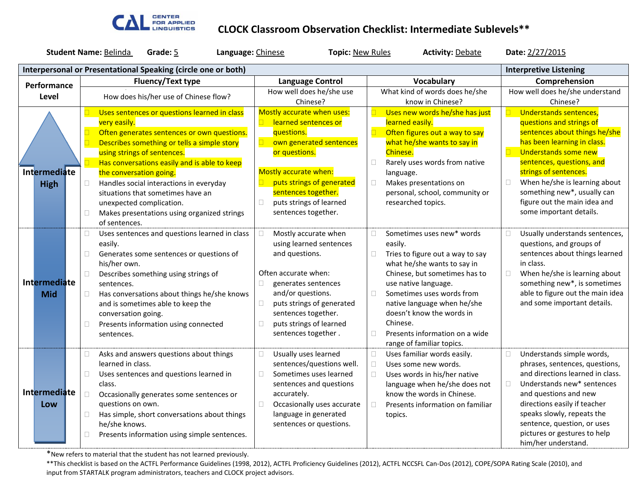

### **CLOCK Classroom Observation Checklist: Intermediate Sublevels\*\***

| <b>Student Name: Belinda</b><br>Grade: 5<br>Language: Chinese<br><b>Topic: New Rules</b> |                                                                                                |        |                                                               |  | <b>Activity: Debate</b> |                                                     | Date: 2/27/2015 |                                                               |        |                                                               |
|------------------------------------------------------------------------------------------|------------------------------------------------------------------------------------------------|--------|---------------------------------------------------------------|--|-------------------------|-----------------------------------------------------|-----------------|---------------------------------------------------------------|--------|---------------------------------------------------------------|
|                                                                                          | Interpersonal or Presentational Speaking (circle one or both)<br><b>Interpretive Listening</b> |        |                                                               |  |                         |                                                     |                 |                                                               |        |                                                               |
|                                                                                          | Performance                                                                                    |        | <b>Fluency/Text type</b>                                      |  | <b>Language Control</b> |                                                     |                 | Vocabulary                                                    |        | Comprehension                                                 |
|                                                                                          | Level                                                                                          |        | How does his/her use of Chinese flow?                         |  |                         | How well does he/she use                            |                 | What kind of words does he/she                                |        | How well does he/she understand                               |
|                                                                                          |                                                                                                |        |                                                               |  |                         | Chinese?                                            |                 | know in Chinese?                                              |        | Chinese?                                                      |
|                                                                                          |                                                                                                |        | Uses sentences or questions learned in class                  |  |                         | Mostly accurate when uses:                          |                 | Uses new words he/she has just                                |        | Understands sentences,                                        |
|                                                                                          |                                                                                                |        | very easily.<br>Often generates sentences or own questions.   |  |                         | learned sentences or<br>questions.                  |                 | learned easily.                                               |        | questions and strings of<br>sentences about things he/she     |
|                                                                                          |                                                                                                | $\Box$ | Describes something or tells a simple story                   |  | $\Box$                  | own generated sentences                             |                 | Often figures out a way to say<br>what he/she wants to say in |        | has been learning in class.                                   |
|                                                                                          |                                                                                                |        | using strings of sentences.                                   |  |                         | or questions.                                       |                 | Chinese.                                                      | $\Box$ | Understands some new                                          |
|                                                                                          |                                                                                                | $\Box$ | Has conversations easily and is able to keep                  |  |                         |                                                     | □               | Rarely uses words from native                                 |        | sentences, questions, and                                     |
|                                                                                          | <b>Intermediate</b>                                                                            |        | the conversation going.                                       |  |                         | Mostly accurate when:                               |                 | language.                                                     |        | strings of sentences.                                         |
|                                                                                          | <b>High</b>                                                                                    | $\Box$ | Handles social interactions in everyday                       |  |                         | puts strings of generated                           | $\Box$          | Makes presentations on                                        | $\Box$ | When he/she is learning about                                 |
|                                                                                          |                                                                                                |        | situations that sometimes have an                             |  |                         | sentences together.                                 |                 | personal, school, community or                                |        | something new*, usually can                                   |
|                                                                                          |                                                                                                |        | unexpected complication.                                      |  | $\Box$                  | puts strings of learned                             |                 | researched topics.                                            |        | figure out the main idea and                                  |
|                                                                                          |                                                                                                | O.     | Makes presentations using organized strings                   |  |                         | sentences together.                                 |                 |                                                               |        | some important details.                                       |
|                                                                                          |                                                                                                |        | of sentences.                                                 |  |                         |                                                     |                 |                                                               |        |                                                               |
|                                                                                          |                                                                                                | $\Box$ | Uses sentences and questions learned in class                 |  |                         | Mostly accurate when                                | □               | Sometimes uses new* words                                     | $\Box$ | Usually understands sentences,                                |
|                                                                                          |                                                                                                |        | easily.                                                       |  |                         | using learned sentences                             |                 | easily.                                                       |        | questions, and groups of                                      |
|                                                                                          |                                                                                                | $\Box$ | Generates some sentences or questions of                      |  |                         | and questions.                                      |                 | Tries to figure out a way to say                              |        | sentences about things learned                                |
|                                                                                          |                                                                                                |        | his/her own.                                                  |  |                         |                                                     |                 | what he/she wants to say in                                   |        | in class.                                                     |
|                                                                                          | <b>Intermediate</b>                                                                            | $\Box$ | Describes something using strings of                          |  |                         | Often accurate when:                                |                 | Chinese, but sometimes has to<br>use native language.         | $\Box$ | When he/she is learning about<br>something new*, is sometimes |
|                                                                                          | <b>Mid</b>                                                                                     |        | sentences.<br>Has conversations about things he/she knows     |  | □                       | generates sentences<br>and/or questions.            | П               | Sometimes uses words from                                     |        | able to figure out the main idea                              |
|                                                                                          |                                                                                                | n      | and is sometimes able to keep the                             |  | $\Box$                  | puts strings of generated                           |                 | native language when he/she                                   |        | and some important details.                                   |
|                                                                                          |                                                                                                |        | conversation going.                                           |  |                         | sentences together.                                 |                 | doesn't know the words in                                     |        |                                                               |
|                                                                                          |                                                                                                | $\Box$ | Presents information using connected                          |  | П                       | puts strings of learned                             |                 | Chinese.                                                      |        |                                                               |
|                                                                                          |                                                                                                |        | sentences.                                                    |  |                         | sentences together.                                 | П               | Presents information on a wide                                |        |                                                               |
|                                                                                          |                                                                                                |        |                                                               |  |                         |                                                     |                 | range of familiar topics.                                     |        |                                                               |
|                                                                                          |                                                                                                | $\Box$ | Asks and answers questions about things                       |  | П                       | Usually uses learned                                | $\Box$          | Uses familiar words easily.                                   | $\Box$ | Understands simple words,                                     |
|                                                                                          |                                                                                                |        | learned in class.                                             |  |                         | sentences/questions well.                           | $\Box$          | Uses some new words.                                          |        | phrases, sentences, questions,                                |
|                                                                                          |                                                                                                | n      | Uses sentences and questions learned in                       |  | П                       | Sometimes uses learned                              | П               | Uses words in his/her native                                  |        | and directions learned in class.                              |
|                                                                                          | <b>Intermediate</b>                                                                            |        | class.                                                        |  |                         | sentences and questions                             |                 | language when he/she does not                                 | $\Box$ | Understands new* sentences                                    |
|                                                                                          |                                                                                                | $\Box$ | Occasionally generates some sentences or                      |  |                         | accurately.                                         |                 | know the words in Chinese.                                    |        | and questions and new                                         |
|                                                                                          | Low                                                                                            |        | questions on own.                                             |  | $\Box$                  | Occasionally uses accurate<br>language in generated | П               | Presents information on familiar                              |        | directions easily if teacher<br>speaks slowly, repeats the    |
|                                                                                          |                                                                                                | O.     | Has simple, short conversations about things<br>he/she knows. |  |                         | sentences or questions.                             |                 | topics.                                                       |        | sentence, question, or uses                                   |
|                                                                                          |                                                                                                | П      | Presents information using simple sentences.                  |  |                         |                                                     |                 |                                                               |        | pictures or gestures to help                                  |
|                                                                                          |                                                                                                |        |                                                               |  |                         |                                                     |                 |                                                               |        | him/her understand.                                           |

\*New refers to material that the student has not learned previously.

\*\*This checklist is based on the ACTFL Performance Guidelines (1998, 2012), ACTFL Proficiency Guidelines (2012), ACTFL NCCSFL Can-Dos (2012), COPE/SOPA Rating Scale (2010), and input from STARTALK program administrators, teachers and CLOCK project advisors.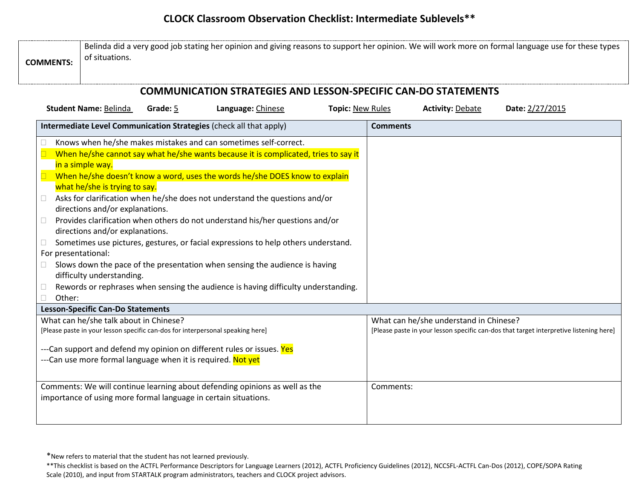# **CLOCK Classroom Observation Checklist: Intermediate Sublevels\*\***

| <b>COMMUNICATION STRATEGIES AND LESSON-SPECIFIC CAN-DO STATEMENTS</b>                                                                                                    |  |
|--------------------------------------------------------------------------------------------------------------------------------------------------------------------------|--|
| <b>Student Name: Belinda</b><br>Grade: 5<br>Language: Chinese<br><b>Topic: New Rules</b><br><b>Activity: Debate</b><br>Date: 2/27/2015                                   |  |
| Intermediate Level Communication Strategies (check all that apply)<br><b>Comments</b>                                                                                    |  |
| Knows when he/she makes mistakes and can sometimes self-correct.                                                                                                         |  |
| When he/she cannot say what he/she wants because it is complicated, tries to say it                                                                                      |  |
| in a simple way.                                                                                                                                                         |  |
| When he/she doesn't know a word, uses the words he/she DOES know to explain                                                                                              |  |
| what he/she is trying to say.                                                                                                                                            |  |
| Asks for clarification when he/she does not understand the questions and/or<br>$\Box$                                                                                    |  |
| directions and/or explanations.                                                                                                                                          |  |
| Provides clarification when others do not understand his/her questions and/or<br>$\Box$                                                                                  |  |
| directions and/or explanations.                                                                                                                                          |  |
| Sometimes use pictures, gestures, or facial expressions to help others understand.<br>$\Box$                                                                             |  |
| For presentational:                                                                                                                                                      |  |
| Slows down the pace of the presentation when sensing the audience is having                                                                                              |  |
| difficulty understanding.                                                                                                                                                |  |
| Rewords or rephrases when sensing the audience is having difficulty understanding.<br>$\Box$                                                                             |  |
| Other:<br><b>Lesson-Specific Can-Do Statements</b>                                                                                                                       |  |
| What can he/she talk about in Chinese?<br>What can he/she understand in Chinese?                                                                                         |  |
| [Please paste in your lesson specific can-dos for interpersonal speaking here]<br>[Please paste in your lesson specific can-dos that target interpretive listening here] |  |
|                                                                                                                                                                          |  |
| ---Can support and defend my opinion on different rules or issues. Yes                                                                                                   |  |
| ---Can use more formal language when it is required. Not yet                                                                                                             |  |
| Comments:                                                                                                                                                                |  |
| Comments: We will continue learning about defending opinions as well as the<br>importance of using more formal language in certain situations.                           |  |
|                                                                                                                                                                          |  |
|                                                                                                                                                                          |  |

<sup>\*</sup>New refers to material that the student has not learned previously.

<sup>\*\*</sup>This checklist is based on the ACTFL Performance Descriptors for Language Learners (2012), ACTFL Proficiency Guidelines (2012), NCCSFL-ACTFL Can-Dos (2012), COPE/SOPA Rating Scale (2010), and input from STARTALK program administrators, teachers and CLOCK project advisors.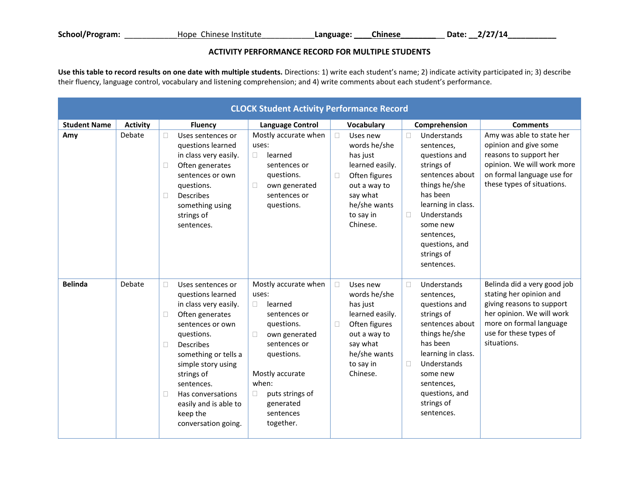#### **ACTIVITY PERFORMANCE RECORD FOR MULTIPLE STUDENTS**

**Use this table to record results on one date with multiple students.** Directions: 1) write each student's name; 2) indicate activity participated in; 3) describe their fluency, language control, vocabulary and listening comprehension; and 4) write comments about each student's performance.

|                     | <b>CLOCK Student Activity Performance Record</b> |                                                                                                                                                                                                                                                                                                                         |                                                                                                                                                                                                                                           |                                                                                                                                                                   |                                                                                                                                                                                                                                       |                                                                                                                                                                                      |  |  |  |  |
|---------------------|--------------------------------------------------|-------------------------------------------------------------------------------------------------------------------------------------------------------------------------------------------------------------------------------------------------------------------------------------------------------------------------|-------------------------------------------------------------------------------------------------------------------------------------------------------------------------------------------------------------------------------------------|-------------------------------------------------------------------------------------------------------------------------------------------------------------------|---------------------------------------------------------------------------------------------------------------------------------------------------------------------------------------------------------------------------------------|--------------------------------------------------------------------------------------------------------------------------------------------------------------------------------------|--|--|--|--|
| <b>Student Name</b> | <b>Activity</b>                                  | <b>Fluency</b>                                                                                                                                                                                                                                                                                                          | <b>Language Control</b>                                                                                                                                                                                                                   | Vocabulary                                                                                                                                                        | Comprehension                                                                                                                                                                                                                         | <b>Comments</b>                                                                                                                                                                      |  |  |  |  |
| Amy                 | Debate                                           | Uses sentences or<br>questions learned<br>in class very easily.<br>Often generates<br>sentences or own<br>questions.<br><b>Describes</b><br>П<br>something using<br>strings of<br>sentences.                                                                                                                            | Mostly accurate when<br>uses:<br>learned<br>$\Box$<br>sentences or<br>questions.<br>$\Box$<br>own generated<br>sentences or<br>questions.                                                                                                 | Uses new<br>$\Box$<br>words he/she<br>has just<br>learned easily.<br>Often figures<br>$\Box$<br>out a way to<br>say what<br>he/she wants<br>to say in<br>Chinese. | Understands<br>П<br>sentences,<br>questions and<br>strings of<br>sentences about<br>things he/she<br>has been<br>learning in class.<br>Understands<br>0<br>some new<br>sentences,<br>questions, and<br>strings of<br>sentences.       | Amy was able to state her<br>opinion and give some<br>reasons to support her<br>opinion. We will work more<br>on formal language use for<br>these types of situations.               |  |  |  |  |
| <b>Belinda</b>      | Debate                                           | П<br>Uses sentences or<br>questions learned<br>in class very easily.<br>Often generates<br>□<br>sentences or own<br>questions.<br>П<br><b>Describes</b><br>something or tells a<br>simple story using<br>strings of<br>sentences.<br>Has conversations<br>П<br>easily and is able to<br>keep the<br>conversation going. | Mostly accurate when<br>uses:<br>learned<br>$\Box$<br>sentences or<br>questions.<br>own generated<br>$\Box$<br>sentences or<br>questions.<br>Mostly accurate<br>when:<br>puts strings of<br>$\Box$<br>generated<br>sentences<br>together. | Uses new<br>$\Box$<br>words he/she<br>has just<br>learned easily.<br>Often figures<br>$\Box$<br>out a way to<br>say what<br>he/she wants<br>to say in<br>Chinese. | Understands<br>П.<br>sentences,<br>questions and<br>strings of<br>sentences about<br>things he/she<br>has been<br>learning in class.<br>Understands<br>$\Box$<br>some new<br>sentences,<br>questions, and<br>strings of<br>sentences. | Belinda did a very good job<br>stating her opinion and<br>giving reasons to support<br>her opinion. We will work<br>more on formal language<br>use for these types of<br>situations. |  |  |  |  |